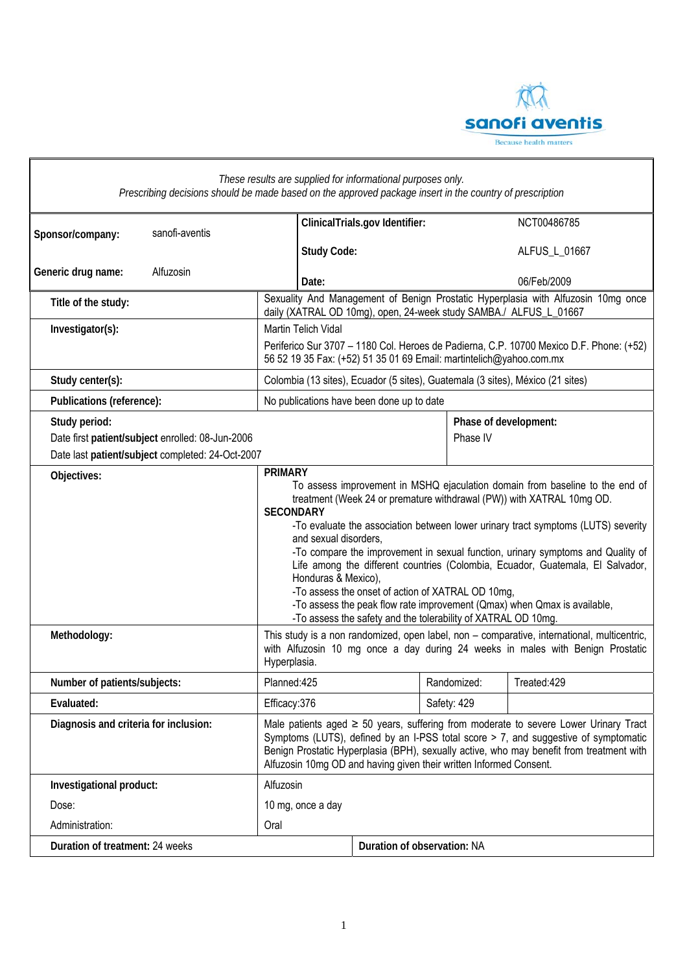

| These results are supplied for informational purposes only.<br>Prescribing decisions should be made based on the approved package insert in the country of prescription |                                                                                                                                                                                                                                                                                                                                                                                                                                                                                                                                                                                                                                                                                       |                                                                                |                             |             |                       |             |  |  |
|-------------------------------------------------------------------------------------------------------------------------------------------------------------------------|---------------------------------------------------------------------------------------------------------------------------------------------------------------------------------------------------------------------------------------------------------------------------------------------------------------------------------------------------------------------------------------------------------------------------------------------------------------------------------------------------------------------------------------------------------------------------------------------------------------------------------------------------------------------------------------|--------------------------------------------------------------------------------|-----------------------------|-------------|-----------------------|-------------|--|--|
| sanofi-aventis<br>Sponsor/company:                                                                                                                                      |                                                                                                                                                                                                                                                                                                                                                                                                                                                                                                                                                                                                                                                                                       | ClinicalTrials.gov Identifier:                                                 |                             |             | NCT00486785           |             |  |  |
|                                                                                                                                                                         |                                                                                                                                                                                                                                                                                                                                                                                                                                                                                                                                                                                                                                                                                       | <b>Study Code:</b>                                                             |                             |             | ALFUS_L_01667         |             |  |  |
| Generic drug name:<br>Alfuzosin                                                                                                                                         |                                                                                                                                                                                                                                                                                                                                                                                                                                                                                                                                                                                                                                                                                       | Date:                                                                          |                             |             |                       | 06/Feb/2009 |  |  |
| Title of the study:                                                                                                                                                     | Sexuality And Management of Benign Prostatic Hyperplasia with Alfuzosin 10mg once<br>daily (XATRAL OD 10mg), open, 24-week study SAMBA./ ALFUS_L_01667                                                                                                                                                                                                                                                                                                                                                                                                                                                                                                                                |                                                                                |                             |             |                       |             |  |  |
| Investigator(s):                                                                                                                                                        | Martin Telich Vidal                                                                                                                                                                                                                                                                                                                                                                                                                                                                                                                                                                                                                                                                   |                                                                                |                             |             |                       |             |  |  |
|                                                                                                                                                                         | Periferico Sur 3707 - 1180 Col. Heroes de Padierna, C.P. 10700 Mexico D.F. Phone: (+52)<br>56 52 19 35 Fax: (+52) 51 35 01 69 Email: martintelich@yahoo.com.mx                                                                                                                                                                                                                                                                                                                                                                                                                                                                                                                        |                                                                                |                             |             |                       |             |  |  |
| Study center(s):                                                                                                                                                        |                                                                                                                                                                                                                                                                                                                                                                                                                                                                                                                                                                                                                                                                                       | Colombia (13 sites), Ecuador (5 sites), Guatemala (3 sites), México (21 sites) |                             |             |                       |             |  |  |
| Publications (reference):                                                                                                                                               | No publications have been done up to date                                                                                                                                                                                                                                                                                                                                                                                                                                                                                                                                                                                                                                             |                                                                                |                             |             |                       |             |  |  |
| Study period:                                                                                                                                                           |                                                                                                                                                                                                                                                                                                                                                                                                                                                                                                                                                                                                                                                                                       |                                                                                |                             |             | Phase of development: |             |  |  |
| Date first patient/subject enrolled: 08-Jun-2006                                                                                                                        |                                                                                                                                                                                                                                                                                                                                                                                                                                                                                                                                                                                                                                                                                       |                                                                                |                             | Phase IV    |                       |             |  |  |
| Date last patient/subject completed: 24-Oct-2007<br><b>PRIMARY</b>                                                                                                      |                                                                                                                                                                                                                                                                                                                                                                                                                                                                                                                                                                                                                                                                                       |                                                                                |                             |             |                       |             |  |  |
| Objectives:                                                                                                                                                             | To assess improvement in MSHQ ejaculation domain from baseline to the end of<br>treatment (Week 24 or premature withdrawal (PW)) with XATRAL 10mg OD.<br><b>SECONDARY</b><br>-To evaluate the association between lower urinary tract symptoms (LUTS) severity<br>and sexual disorders,<br>-To compare the improvement in sexual function, urinary symptoms and Quality of<br>Life among the different countries (Colombia, Ecuador, Guatemala, El Salvador,<br>Honduras & Mexico),<br>-To assess the onset of action of XATRAL OD 10mg,<br>-To assess the peak flow rate improvement (Qmax) when Qmax is available,<br>-To assess the safety and the tolerability of XATRAL OD 10mg. |                                                                                |                             |             |                       |             |  |  |
| Methodology:                                                                                                                                                            | This study is a non randomized, open label, non - comparative, international, multicentric,<br>with Alfuzosin 10 mg once a day during 24 weeks in males with Benign Prostatic<br>Hyperplasia.                                                                                                                                                                                                                                                                                                                                                                                                                                                                                         |                                                                                |                             |             |                       |             |  |  |
| Number of patients/subjects:                                                                                                                                            | Planned: 425                                                                                                                                                                                                                                                                                                                                                                                                                                                                                                                                                                                                                                                                          |                                                                                |                             | Randomized: |                       | Treated:429 |  |  |
| Evaluated:                                                                                                                                                              | Efficacy:376                                                                                                                                                                                                                                                                                                                                                                                                                                                                                                                                                                                                                                                                          |                                                                                |                             | Safety: 429 |                       |             |  |  |
| Diagnosis and criteria for inclusion:                                                                                                                                   | Male patients aged $\geq$ 50 years, suffering from moderate to severe Lower Urinary Tract<br>Symptoms (LUTS), defined by an I-PSS total score > 7, and suggestive of symptomatic<br>Benign Prostatic Hyperplasia (BPH), sexually active, who may benefit from treatment with<br>Alfuzosin 10mg OD and having given their written Informed Consent.                                                                                                                                                                                                                                                                                                                                    |                                                                                |                             |             |                       |             |  |  |
| Investigational product:                                                                                                                                                | Alfuzosin                                                                                                                                                                                                                                                                                                                                                                                                                                                                                                                                                                                                                                                                             |                                                                                |                             |             |                       |             |  |  |
| Dose:                                                                                                                                                                   | 10 mg, once a day                                                                                                                                                                                                                                                                                                                                                                                                                                                                                                                                                                                                                                                                     |                                                                                |                             |             |                       |             |  |  |
| Administration:                                                                                                                                                         | Oral                                                                                                                                                                                                                                                                                                                                                                                                                                                                                                                                                                                                                                                                                  |                                                                                |                             |             |                       |             |  |  |
| Duration of treatment: 24 weeks                                                                                                                                         |                                                                                                                                                                                                                                                                                                                                                                                                                                                                                                                                                                                                                                                                                       |                                                                                | Duration of observation: NA |             |                       |             |  |  |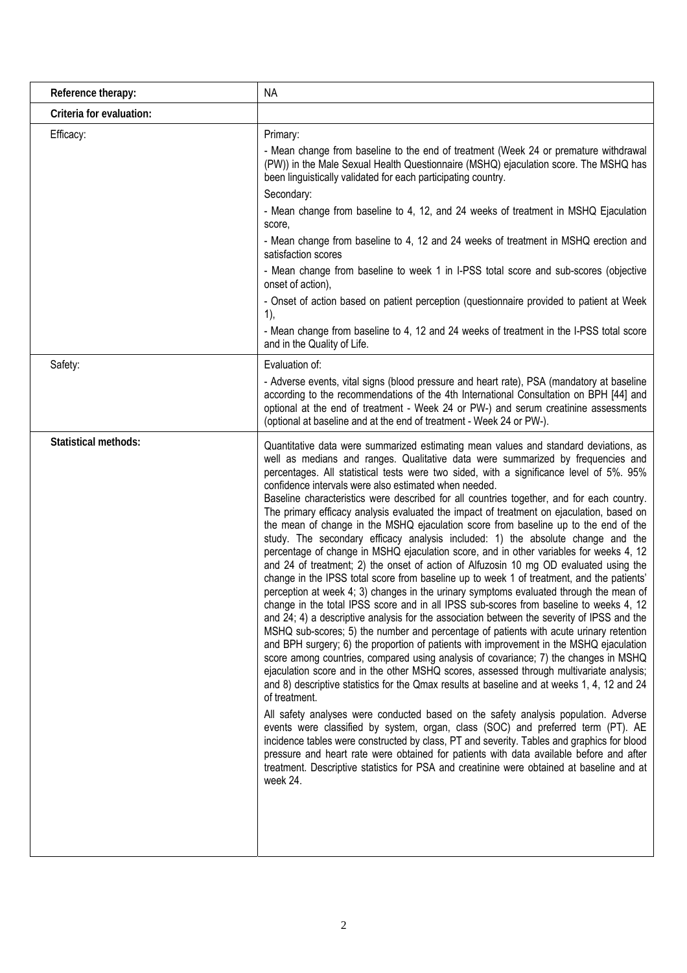| Reference therapy:          | <b>NA</b>                                                                                                                                                                                                                                                                                                                                                                                                                                                                                                                                                                                                                                                                                                                                                                                                                                                                                                                                                                                                                                                                                                                                                                                                                                                                                                                                                                                                                                                                                                                                                                                                                                                                                                                                                                                                                                                                                                                                                                                                                                                                                                                                                                                                                             |
|-----------------------------|---------------------------------------------------------------------------------------------------------------------------------------------------------------------------------------------------------------------------------------------------------------------------------------------------------------------------------------------------------------------------------------------------------------------------------------------------------------------------------------------------------------------------------------------------------------------------------------------------------------------------------------------------------------------------------------------------------------------------------------------------------------------------------------------------------------------------------------------------------------------------------------------------------------------------------------------------------------------------------------------------------------------------------------------------------------------------------------------------------------------------------------------------------------------------------------------------------------------------------------------------------------------------------------------------------------------------------------------------------------------------------------------------------------------------------------------------------------------------------------------------------------------------------------------------------------------------------------------------------------------------------------------------------------------------------------------------------------------------------------------------------------------------------------------------------------------------------------------------------------------------------------------------------------------------------------------------------------------------------------------------------------------------------------------------------------------------------------------------------------------------------------------------------------------------------------------------------------------------------------|
| Criteria for evaluation:    |                                                                                                                                                                                                                                                                                                                                                                                                                                                                                                                                                                                                                                                                                                                                                                                                                                                                                                                                                                                                                                                                                                                                                                                                                                                                                                                                                                                                                                                                                                                                                                                                                                                                                                                                                                                                                                                                                                                                                                                                                                                                                                                                                                                                                                       |
| Efficacy:                   | Primary:<br>- Mean change from baseline to the end of treatment (Week 24 or premature withdrawal<br>(PW)) in the Male Sexual Health Questionnaire (MSHQ) ejaculation score. The MSHQ has<br>been linguistically validated for each participating country.<br>Secondary:<br>- Mean change from baseline to 4, 12, and 24 weeks of treatment in MSHQ Ejaculation<br>score,<br>- Mean change from baseline to 4, 12 and 24 weeks of treatment in MSHQ erection and<br>satisfaction scores<br>- Mean change from baseline to week 1 in I-PSS total score and sub-scores (objective<br>onset of action),<br>- Onset of action based on patient perception (questionnaire provided to patient at Week<br>1),<br>- Mean change from baseline to 4, 12 and 24 weeks of treatment in the I-PSS total score<br>and in the Quality of Life.                                                                                                                                                                                                                                                                                                                                                                                                                                                                                                                                                                                                                                                                                                                                                                                                                                                                                                                                                                                                                                                                                                                                                                                                                                                                                                                                                                                                      |
| Safety:                     | Evaluation of:<br>- Adverse events, vital signs (blood pressure and heart rate), PSA (mandatory at baseline<br>according to the recommendations of the 4th International Consultation on BPH [44] and<br>optional at the end of treatment - Week 24 or PW-) and serum creatinine assessments<br>(optional at baseline and at the end of treatment - Week 24 or PW-).                                                                                                                                                                                                                                                                                                                                                                                                                                                                                                                                                                                                                                                                                                                                                                                                                                                                                                                                                                                                                                                                                                                                                                                                                                                                                                                                                                                                                                                                                                                                                                                                                                                                                                                                                                                                                                                                  |
| <b>Statistical methods:</b> | Quantitative data were summarized estimating mean values and standard deviations, as<br>well as medians and ranges. Qualitative data were summarized by frequencies and<br>percentages. All statistical tests were two sided, with a significance level of 5%. 95%<br>confidence intervals were also estimated when needed.<br>Baseline characteristics were described for all countries together, and for each country.<br>The primary efficacy analysis evaluated the impact of treatment on ejaculation, based on<br>the mean of change in the MSHQ ejaculation score from baseline up to the end of the<br>study. The secondary efficacy analysis included: 1) the absolute change and the<br>percentage of change in MSHQ ejaculation score, and in other variables for weeks 4, 12<br>and 24 of treatment; 2) the onset of action of Alfuzosin 10 mg OD evaluated using the<br>change in the IPSS total score from baseline up to week 1 of treatment, and the patients'<br>perception at week 4; 3) changes in the urinary symptoms evaluated through the mean of<br>change in the total IPSS score and in all IPSS sub-scores from baseline to weeks 4, 12<br>and 24; 4) a descriptive analysis for the association between the severity of IPSS and the<br>MSHQ sub-scores; 5) the number and percentage of patients with acute urinary retention<br>and BPH surgery; 6) the proportion of patients with improvement in the MSHQ ejaculation<br>score among countries, compared using analysis of covariance; 7) the changes in MSHQ<br>ejaculation score and in the other MSHQ scores, assessed through multivariate analysis;<br>and 8) descriptive statistics for the Qmax results at baseline and at weeks 1, 4, 12 and 24<br>of treatment.<br>All safety analyses were conducted based on the safety analysis population. Adverse<br>events were classified by system, organ, class (SOC) and preferred term (PT). AE<br>incidence tables were constructed by class, PT and severity. Tables and graphics for blood<br>pressure and heart rate were obtained for patients with data available before and after<br>treatment. Descriptive statistics for PSA and creatinine were obtained at baseline and at<br>week 24. |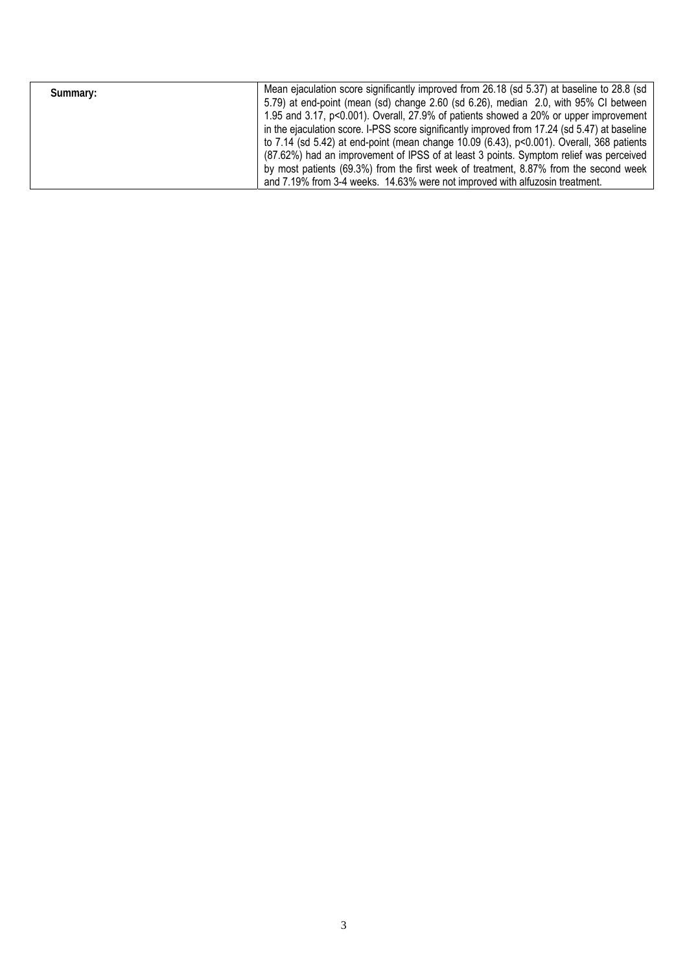| Summary: | Mean ejaculation score significantly improved from 26.18 (sd 5.37) at baseline to 28.8 (sd    |
|----------|-----------------------------------------------------------------------------------------------|
|          | 5.79) at end-point (mean (sd) change 2.60 (sd 6.26), median 2.0, with 95% CI between          |
|          | 1.95 and 3.17, p<0.001). Overall, 27.9% of patients showed a 20% or upper improvement         |
|          | in the ejaculation score. I-PSS score significantly improved from 17.24 (sd 5.47) at baseline |
|          | to 7.14 (sd 5.42) at end-point (mean change 10.09 (6.43), p<0.001). Overall, 368 patients     |
|          | (87.62%) had an improvement of IPSS of at least 3 points. Symptom relief was perceived        |
|          | by most patients (69.3%) from the first week of treatment, 8.87% from the second week         |
|          | and 7.19% from 3-4 weeks. 14.63% were not improved with alfuzosin treatment.                  |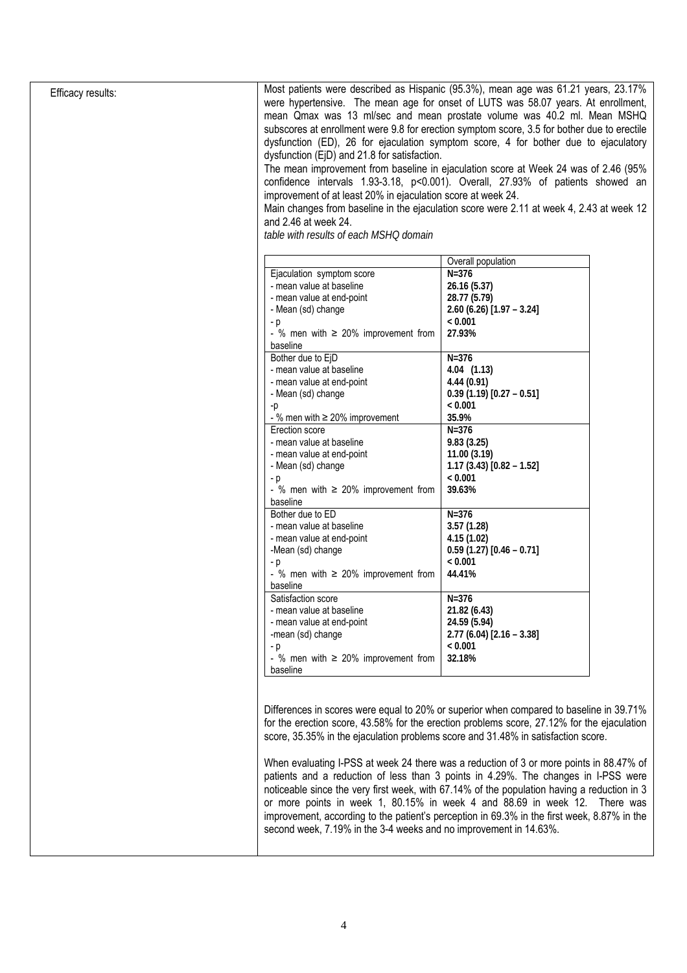| Efficacy results: | Most patients were described as Hispanic (95.3%), mean age was 61.21 years, 23.17%<br>were hypertensive. The mean age for onset of LUTS was 58.07 years. At enrollment, |                                                                                            |  |  |  |  |  |
|-------------------|-------------------------------------------------------------------------------------------------------------------------------------------------------------------------|--------------------------------------------------------------------------------------------|--|--|--|--|--|
|                   | mean Qmax was 13 ml/sec and mean prostate volume was 40.2 ml. Mean MSHQ                                                                                                 |                                                                                            |  |  |  |  |  |
|                   | subscores at enrollment were 9.8 for erection symptom score, 3.5 for bother due to erectile                                                                             |                                                                                            |  |  |  |  |  |
|                   | dysfunction (ED), 26 for ejaculation symptom score, 4 for bother due to ejaculatory                                                                                     |                                                                                            |  |  |  |  |  |
|                   | dysfunction (EjD) and 21.8 for satisfaction.                                                                                                                            |                                                                                            |  |  |  |  |  |
|                   |                                                                                                                                                                         | The mean improvement from baseline in ejaculation score at Week 24 was of 2.46 (95%        |  |  |  |  |  |
|                   |                                                                                                                                                                         | confidence intervals 1.93-3.18, p<0.001). Overall, 27.93% of patients showed an            |  |  |  |  |  |
|                   | improvement of at least 20% in ejaculation score at week 24.                                                                                                            |                                                                                            |  |  |  |  |  |
|                   |                                                                                                                                                                         | Main changes from baseline in the ejaculation score were 2.11 at week 4, 2.43 at week 12   |  |  |  |  |  |
|                   | and 2.46 at week 24.                                                                                                                                                    |                                                                                            |  |  |  |  |  |
|                   | table with results of each MSHQ domain                                                                                                                                  |                                                                                            |  |  |  |  |  |
|                   |                                                                                                                                                                         | Overall population                                                                         |  |  |  |  |  |
|                   | Ejaculation symptom score                                                                                                                                               | $N = 376$                                                                                  |  |  |  |  |  |
|                   | - mean value at baseline                                                                                                                                                | 26.16 (5.37)                                                                               |  |  |  |  |  |
|                   | - mean value at end-point                                                                                                                                               | 28.77 (5.79)                                                                               |  |  |  |  |  |
|                   | - Mean (sd) change                                                                                                                                                      | $2.60(6.26)[1.97 - 3.24]$                                                                  |  |  |  |  |  |
|                   | $-p$                                                                                                                                                                    | < 0.001                                                                                    |  |  |  |  |  |
|                   | - % men with $\geq$ 20% improvement from                                                                                                                                | 27.93%                                                                                     |  |  |  |  |  |
|                   | baseline                                                                                                                                                                |                                                                                            |  |  |  |  |  |
|                   | Bother due to EjD                                                                                                                                                       | $N = 376$                                                                                  |  |  |  |  |  |
|                   | - mean value at baseline                                                                                                                                                | $4.04$ $(1.13)$                                                                            |  |  |  |  |  |
|                   | - mean value at end-point                                                                                                                                               | 4.44(0.91)                                                                                 |  |  |  |  |  |
|                   |                                                                                                                                                                         |                                                                                            |  |  |  |  |  |
|                   | - Mean (sd) change                                                                                                                                                      | $0.39(1.19)[0.27 - 0.51]$                                                                  |  |  |  |  |  |
|                   | -p                                                                                                                                                                      | < 0.001                                                                                    |  |  |  |  |  |
|                   | - % men with $\geq$ 20% improvement                                                                                                                                     | 35.9%                                                                                      |  |  |  |  |  |
|                   | Erection score                                                                                                                                                          | $N=376$                                                                                    |  |  |  |  |  |
|                   | - mean value at baseline                                                                                                                                                | 9.83(3.25)                                                                                 |  |  |  |  |  |
|                   | - mean value at end-point                                                                                                                                               | 11.00(3.19)                                                                                |  |  |  |  |  |
|                   | - Mean (sd) change                                                                                                                                                      | $1.17(3.43)[0.82 - 1.52]$                                                                  |  |  |  |  |  |
|                   | - p                                                                                                                                                                     | < 0.001                                                                                    |  |  |  |  |  |
|                   | - % men with $\geq$ 20% improvement from                                                                                                                                | 39.63%                                                                                     |  |  |  |  |  |
|                   | baseline                                                                                                                                                                |                                                                                            |  |  |  |  |  |
|                   | Bother due to ED                                                                                                                                                        | $N=376$                                                                                    |  |  |  |  |  |
|                   | - mean value at baseline                                                                                                                                                | 3.57(1.28)                                                                                 |  |  |  |  |  |
|                   | - mean value at end-point                                                                                                                                               | 4.15(1.02)                                                                                 |  |  |  |  |  |
|                   | -Mean (sd) change                                                                                                                                                       | $0.59(1.27)[0.46 - 0.71]$                                                                  |  |  |  |  |  |
|                   | - p                                                                                                                                                                     | < 0.001                                                                                    |  |  |  |  |  |
|                   | - % men with $\geq$ 20% improvement from<br>baseline                                                                                                                    | 44.41%                                                                                     |  |  |  |  |  |
|                   | Satisfaction score                                                                                                                                                      | $N = 376$                                                                                  |  |  |  |  |  |
|                   | - mean value at baseline                                                                                                                                                | 21.82 (6.43)                                                                               |  |  |  |  |  |
|                   | - mean value at end-point                                                                                                                                               | 24.59 (5.94)                                                                               |  |  |  |  |  |
|                   | -mean (sd) change                                                                                                                                                       | $2.77(6.04)[2.16 - 3.38]$                                                                  |  |  |  |  |  |
|                   |                                                                                                                                                                         | < 0.001                                                                                    |  |  |  |  |  |
|                   | $-p$<br>- % men with $\geq$ 20% improvement from                                                                                                                        | 32.18%                                                                                     |  |  |  |  |  |
|                   |                                                                                                                                                                         |                                                                                            |  |  |  |  |  |
|                   | baseline                                                                                                                                                                |                                                                                            |  |  |  |  |  |
|                   |                                                                                                                                                                         |                                                                                            |  |  |  |  |  |
|                   |                                                                                                                                                                         | Differences in scores were equal to 20% or superior when compared to baseline in 39.71%    |  |  |  |  |  |
|                   |                                                                                                                                                                         | for the erection score, 43.58% for the erection problems score, 27.12% for the ejaculation |  |  |  |  |  |
|                   | score, 35.35% in the ejaculation problems score and 31.48% in satisfaction score.                                                                                       |                                                                                            |  |  |  |  |  |
|                   |                                                                                                                                                                         |                                                                                            |  |  |  |  |  |
|                   |                                                                                                                                                                         | When evaluating I-PSS at week 24 there was a reduction of 3 or more points in 88.47% of    |  |  |  |  |  |
|                   |                                                                                                                                                                         | patients and a reduction of less than 3 points in 4.29%. The changes in I-PSS were         |  |  |  |  |  |
|                   | noticeable since the very first week, with 67.14% of the population having a reduction in 3                                                                             |                                                                                            |  |  |  |  |  |
|                   | or more points in week 1, 80.15% in week 4 and 88.69 in week 12. There was                                                                                              |                                                                                            |  |  |  |  |  |
|                   | improvement, according to the patient's perception in 69.3% in the first week, 8.87% in the                                                                             |                                                                                            |  |  |  |  |  |
|                   |                                                                                                                                                                         |                                                                                            |  |  |  |  |  |
|                   | second week, 7.19% in the 3-4 weeks and no improvement in 14.63%.                                                                                                       |                                                                                            |  |  |  |  |  |
|                   |                                                                                                                                                                         |                                                                                            |  |  |  |  |  |